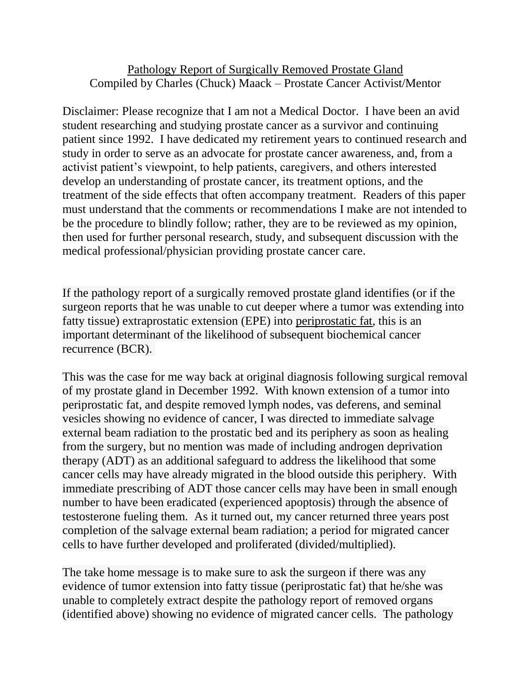## Pathology Report of Surgically Removed Prostate Gland Compiled by Charles (Chuck) Maack – Prostate Cancer Activist/Mentor

Disclaimer: Please recognize that I am not a Medical Doctor. I have been an avid student researching and studying prostate cancer as a survivor and continuing patient since 1992. I have dedicated my retirement years to continued research and study in order to serve as an advocate for prostate cancer awareness, and, from a activist patient's viewpoint, to help patients, caregivers, and others interested develop an understanding of prostate cancer, its treatment options, and the treatment of the side effects that often accompany treatment. Readers of this paper must understand that the comments or recommendations I make are not intended to be the procedure to blindly follow; rather, they are to be reviewed as my opinion, then used for further personal research, study, and subsequent discussion with the medical professional/physician providing prostate cancer care.

If the pathology report of a surgically removed prostate gland identifies (or if the surgeon reports that he was unable to cut deeper where a tumor was extending into fatty tissue) extraprostatic extension (EPE) into periprostatic fat, this is an important determinant of the likelihood of subsequent biochemical cancer recurrence (BCR).

This was the case for me way back at original diagnosis following surgical removal of my prostate gland in December 1992. With known extension of a tumor into periprostatic fat, and despite removed lymph nodes, vas deferens, and seminal vesicles showing no evidence of cancer, I was directed to immediate salvage external beam radiation to the prostatic bed and its periphery as soon as healing from the surgery, but no mention was made of including androgen deprivation therapy (ADT) as an additional safeguard to address the likelihood that some cancer cells may have already migrated in the blood outside this periphery. With immediate prescribing of ADT those cancer cells may have been in small enough number to have been eradicated (experienced apoptosis) through the absence of testosterone fueling them. As it turned out, my cancer returned three years post completion of the salvage external beam radiation; a period for migrated cancer cells to have further developed and proliferated (divided/multiplied).

The take home message is to make sure to ask the surgeon if there was any evidence of tumor extension into fatty tissue (periprostatic fat) that he/she was unable to completely extract despite the pathology report of removed organs (identified above) showing no evidence of migrated cancer cells. The pathology